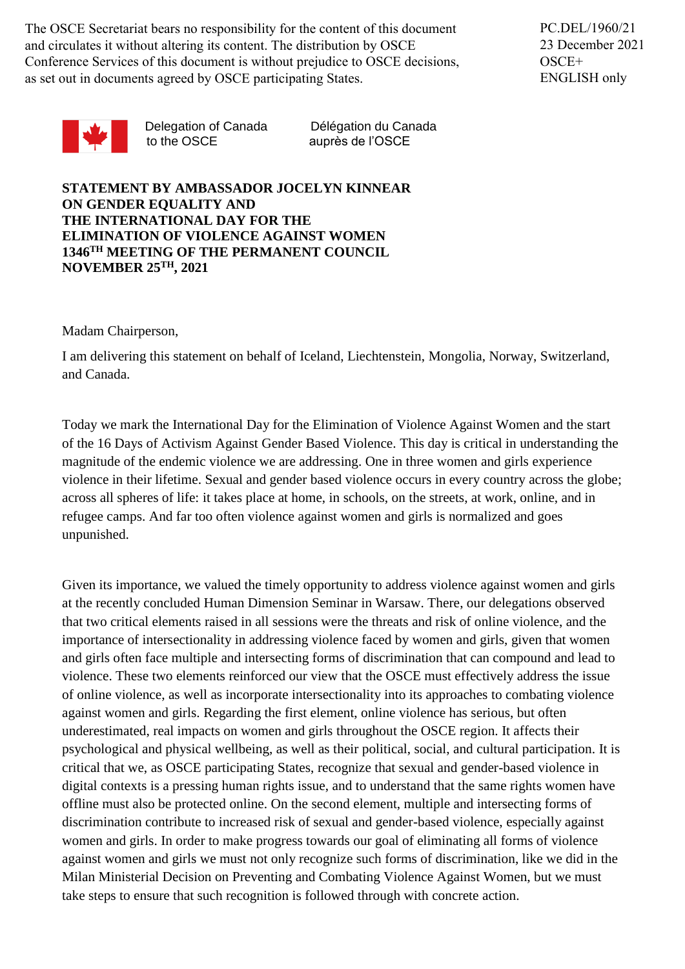The OSCE Secretariat bears no responsibility for the content of this document and circulates it without altering its content. The distribution by OSCE Conference Services of this document is without prejudice to OSCE decisions, as set out in documents agreed by OSCE participating States.

PC.DEL/1960/21 23 December 2021 OSCE+ ENGLISH only



to the OSCE auprès de l'OSCE

Delegation of Canada Délégation du Canada

**STATEMENT BY AMBASSADOR JOCELYN KINNEAR ON GENDER EQUALITY AND THE INTERNATIONAL DAY FOR THE ELIMINATION OF VIOLENCE AGAINST WOMEN 1346TH MEETING OF THE PERMANENT COUNCIL NOVEMBER 25TH, 2021**

Madam Chairperson,

I am delivering this statement on behalf of Iceland, Liechtenstein, Mongolia, Norway, Switzerland, and Canada.

Today we mark the International Day for the Elimination of Violence Against Women and the start of the 16 Days of Activism Against Gender Based Violence. This day is critical in understanding the magnitude of the endemic violence we are addressing. One in three women and girls experience violence in their lifetime. Sexual and gender based violence occurs in every country across the globe; across all spheres of life: it takes place at home, in schools, on the streets, at work, online, and in refugee camps. And far too often violence against women and girls is normalized and goes unpunished.

Given its importance, we valued the timely opportunity to address violence against women and girls at the recently concluded Human Dimension Seminar in Warsaw. There, our delegations observed that two critical elements raised in all sessions were the threats and risk of online violence, and the importance of intersectionality in addressing violence faced by women and girls, given that women and girls often face multiple and intersecting forms of discrimination that can compound and lead to violence. These two elements reinforced our view that the OSCE must effectively address the issue of online violence, as well as incorporate intersectionality into its approaches to combating violence against women and girls. Regarding the first element, online violence has serious, but often underestimated, real impacts on women and girls throughout the OSCE region. It affects their psychological and physical wellbeing, as well as their political, social, and cultural participation. It is critical that we, as OSCE participating States, recognize that sexual and gender-based violence in digital contexts is a pressing human rights issue, and to understand that the same rights women have offline must also be protected online. On the second element, multiple and intersecting forms of discrimination contribute to increased risk of sexual and gender-based violence, especially against women and girls. In order to make progress towards our goal of eliminating all forms of violence against women and girls we must not only recognize such forms of discrimination, like we did in the Milan Ministerial Decision on Preventing and Combating Violence Against Women, but we must take steps to ensure that such recognition is followed through with concrete action.